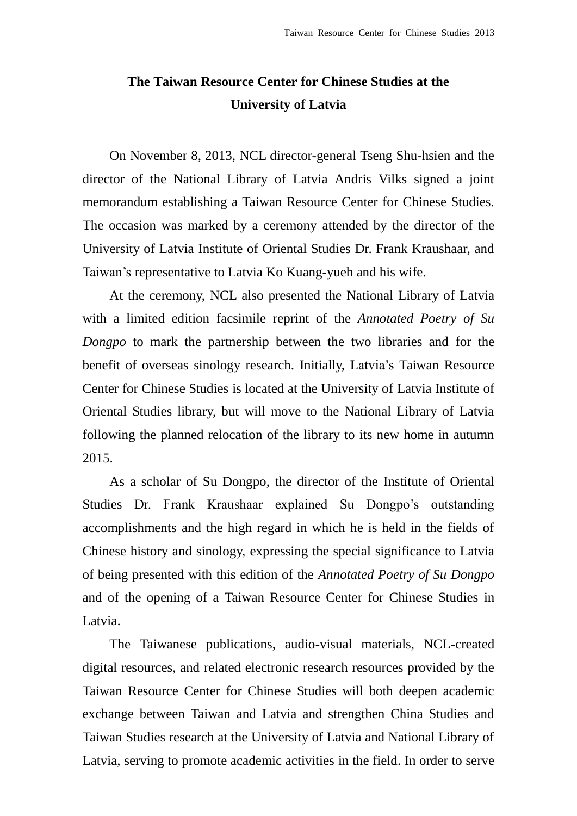## **The Taiwan Resource Center for Chinese Studies at the University of Latvia**

On November 8, 2013, NCL director-general Tseng Shu-hsien and the director of the National Library of Latvia Andris Vilks signed a joint memorandum establishing a Taiwan Resource Center for Chinese Studies. The occasion was marked by a ceremony attended by the director of the University of Latvia Institute of Oriental Studies Dr. Frank Kraushaar, and Taiwan's representative to Latvia Ko Kuang-yueh and his wife.

At the ceremony, NCL also presented the National Library of Latvia with a limited edition facsimile reprint of the *Annotated Poetry of Su Dongpo* to mark the partnership between the two libraries and for the benefit of overseas sinology research. Initially, Latvia's Taiwan Resource Center for Chinese Studies is located at the University of Latvia Institute of Oriental Studies library, but will move to the National Library of Latvia following the planned relocation of the library to its new home in autumn 2015.

As a scholar of Su Dongpo, the director of the Institute of Oriental Studies Dr. Frank Kraushaar explained Su Dongpo's outstanding accomplishments and the high regard in which he is held in the fields of Chinese history and sinology, expressing the special significance to Latvia of being presented with this edition of the *Annotated Poetry of Su Dongpo* and of the opening of a Taiwan Resource Center for Chinese Studies in Latvia.

The Taiwanese publications, audio-visual materials, NCL-created digital resources, and related electronic research resources provided by the Taiwan Resource Center for Chinese Studies will both deepen academic exchange between Taiwan and Latvia and strengthen China Studies and Taiwan Studies research at the University of Latvia and National Library of Latvia, serving to promote academic activities in the field. In order to serve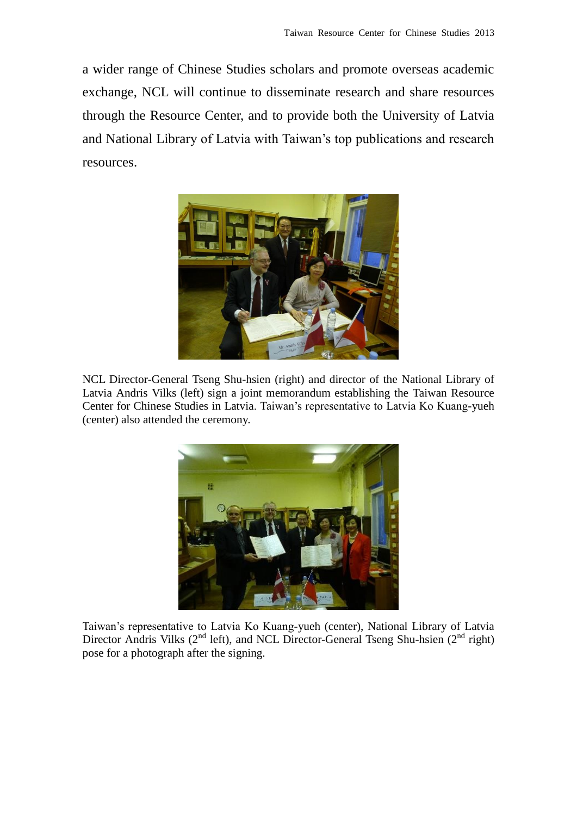a wider range of Chinese Studies scholars and promote overseas academic exchange, NCL will continue to disseminate research and share resources through the Resource Center, and to provide both the University of Latvia and National Library of Latvia with Taiwan's top publications and research resources.



NCL Director-General Tseng Shu-hsien (right) and director of the National Library of Latvia Andris Vilks (left) sign a joint memorandum establishing the Taiwan Resource Center for Chinese Studies in Latvia. Taiwan's representative to Latvia Ko Kuang-yueh (center) also attended the ceremony.



Taiwan's representative to Latvia Ko Kuang-yueh (center), National Library of Latvia Director Andris Vilks ( $2<sup>nd</sup>$  left), and NCL Director-General Tseng Shu-hsien ( $2<sup>nd</sup>$  right) pose for a photograph after the signing.